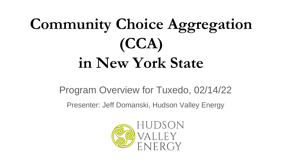# **Community Choice Aggregation (CCA) in New York State**

Program Overview for Tuxedo, 02/14/22

Presenter: Jeff Domanski, Hudson Valley Energy

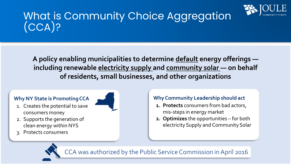

### What is Community Choice Aggregation (CCA)?

**A policy enabling municipalities to determine default energy offerings including renewable electricity supply and community solar — on behalf of residents, small businesses, and other organizations**

#### **Why NY State is Promoting CCA**



- 2. Supports the generation of clean energy within NYS
- 3. Protects consumers



- **1. Protects** consumers from bad actors, mis-steps in energy market
- **2. Optimizes** the opportunities for both electricity Supply and Community Solar

A was authorized by the Public Service Commission in April 2016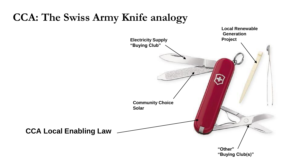### **CCA: The Swiss Army Knife analogy**

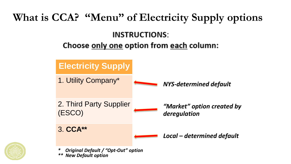

*\* Original Default / "Opt-Out" option \*\* New Default option*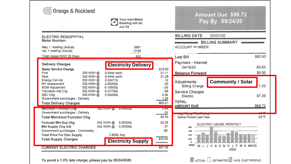|                                                                                                                                                      | Your next Meter<br>Reading will be:<br>Jun 03                                             |                                |                                      | <b>Amount Due \$98.72</b><br>Pay By 05/24/20 |
|------------------------------------------------------------------------------------------------------------------------------------------------------|-------------------------------------------------------------------------------------------|--------------------------------|--------------------------------------|----------------------------------------------|
| ELECTRIC RESIDENTIAL<br>Meter Number:                                                                                                                |                                                                                           |                                | <b>BILLING DATE</b>                  | 05/01/20<br><b>BILLING SUMMARY</b>           |
| May 1 reading (Actual)<br>Apr 1 reading (Actual)                                                                                                     | 3661<br>-3159                                                                             |                                | ACCOUNT NUMBER                       |                                              |
| Total Usage KWH 30 Days                                                                                                                              | 502                                                                                       |                                | Last Bill                            | \$92.63                                      |
| <b>Delivery Charges</b><br><b>Basic Service Charge</b>                                                                                               | <b>Electricity Delivery</b>                                                               | \$19.50                        | Payment - Internet<br>04/16/20       | $-92.63$                                     |
| First<br>250 KWH @<br>Next<br>252 KWH @                                                                                                              | 8.444¢ each<br>8.444¢ each                                                                | 21.11<br>21.28                 | <b>Balance Forward</b>               | \$0.00                                       |
| Energy Cst Adj<br>502 KWH @<br>NY Assessment<br>502 KWH @<br>RDM Adjustment<br>502 KWH @                                                             | 0.02417¢<br>0.00000¢<br>$-0.18500c$                                                       | .12<br>.00<br>$-.93$           | Adjustments<br><b>Billing Charge</b> | <b>Community / Solar</b><br>1.33             |
| Transition Adj Chg<br>502 KWH @<br>SBC Cha<br>502 KWH @<br>Government surcharges - Delivery                                                          | $-0.017006$<br>0.58200¢                                                                   | $-.09$<br>2.92<br>1.30         | Service Charges<br>Electric          | 97.39                                        |
| <b>Total Delivery Charges</b>                                                                                                                        |                                                                                           | \$65.21                        | <b>TOTAL</b><br><b>AMOUNT DUE</b>    | \$98.72                                      |
| <b>Merchant Function Cng</b><br>Government surcharges - Delivery                                                                                     | <b>502 KWH</b> @ 0.49400¢                                                                 | Z.40<br>.05                    |                                      |                                              |
| <b>Total Merchant Function Chg</b>                                                                                                                   |                                                                                           | \$2.53                         | Same Period Last Year                | 53 °F                                        |
| Forecast Mkt Sup Chg<br>Mkt Supply Chg Adj<br>Government surcharges - Commodity<br><b>Total Price For Elec Supply</b><br><b>Total Supply Charges</b> | 5.85200¢<br>502 KWH @<br>502 KWH @<br>0.05300¢<br>5.906¢ Avg<br><b>Electricity Supply</b> | 29.38<br>.27<br>.00<br>\$29.65 | 940<br>705<br>470<br>235             | ELECTRIC USAGE: MONTHLY                      |
| \$97.39<br><b>CURRENT ELECTRIC CHARGES</b>                                                                                                           |                                                                                           |                                | <b>KWH</b><br>J.<br>м                | <b>JASOND</b><br>J F M A MAVG                |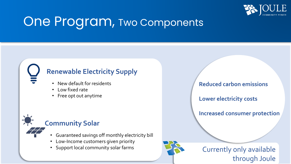

### One Program, Two Components

#### **Renewable Electricity Supply**

- New default for residents
- Low fixed rate
- Free opt out anytime

#### **Community Solar**

- Guaranteed savings off monthly electricity bill
- Low-Income customers given priority
- Support local community solar farms

**Reduced carbon emissions**

**Lower electricity costs**

**Increased consumer protection**



Currently only available through Joule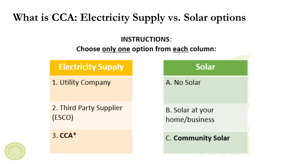### **What is CCA: Electricity Supply vs. Solar options**

#### **INSTRUCTIONS:**

#### Choose only one option from each column:

**Solar** 



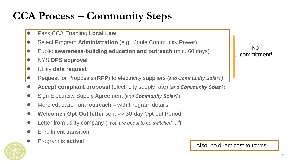### **CCA Process – Community Steps**

- Pass CCA Enabling **Local Law**
- Select Program **Administration** (e.g., Joule Community Power)
- Public **awareness-building education and outreach** (min. 60 days)
- NYS **DPS approval**
- Utility **data request**
- Request for Proposals (**RFP**) to electricity suppliers (*and Community Solar?)*
- **Accept compliant proposal** (electricity supply rate) (*and Community Solar?*)
- Sign Electricity Supply Agreement (*and Community Solar?*)
- More education and outreach with Program details
- **Welcome / Opt-Out letter** sent >> 30-day Opt-out Period
- Letter from utility company (*"You are about to be switched ..."*)
- **Enrollment transition**
- Program is **active**!



No commitment!

#### Also, no direct cost to towns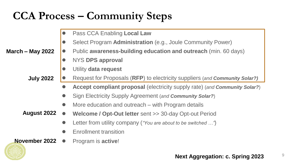### **CCA Process – Community Steps**

|                    | $\bullet$ | Pass CCA Enabling Local Law                                                 |
|--------------------|-----------|-----------------------------------------------------------------------------|
|                    |           | Select Program Administration (e.g., Joule Community Power)                 |
| March – May 2022   | $\bullet$ | Public awareness-building education and outreach (min. 60 days)             |
|                    | $\bullet$ | <b>NYS DPS approval</b>                                                     |
|                    |           | Utility data request                                                        |
| <b>July 2022</b>   |           | Request for Proposals (RFP) to electricity suppliers (and Community Solar?) |
|                    |           | Accept compliant proposal (electricity supply rate) (and Community Solar?)  |
|                    | $\bullet$ | Sign Electricity Supply Agreement (and Community Solar?)                    |
|                    | $\bullet$ | More education and outreach – with Program details                          |
| <b>August 2022</b> |           | <b>Welcome / Opt-Out letter</b> sent >> 30-day Opt-out Period               |
|                    |           | Letter from utility company ("You are about to be switched ")               |
|                    | $\bullet$ | <b>Enrollment transition</b>                                                |
| November 2022      |           | Program is <b>active!</b>                                                   |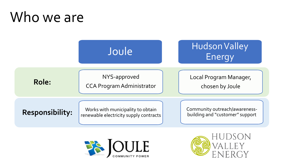## Who we are





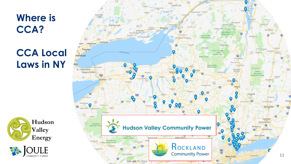**Where is CCA?** 

### **CCA Local Laws in NY**





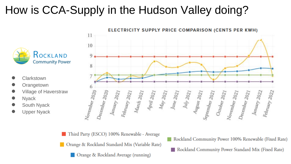### How is CCA-Supply in the Hudson Valley doing?



- **Clarkstown**
- **Orangetown**
- **Village of Haverstraw**
- **Nyack**
- South Nyack
- Upper Nyack



Third Party (ESCO) 100% Renewable - Average

Orange & Rockland Standard Mix (Variable Rate)

Orange & Rockland Average (running)

Rockland Community Power 100% Renewable (Fixed Rate) Rockland Community Power Standard Mix (Fixed Rate)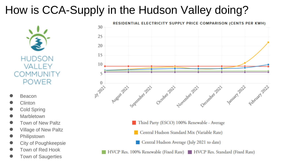### How is CCA-Supply in the Hudson Valley doing?



- **Beacon**
- **Clinton**
- Cold Spring
- Marbletown
- **Town of New Paltz**
- **Village of New Paltz**
- **Philipstown**
- **City of Poughkeepsie**
- Town of Red Hook
- **Town of Saugerties**



- Third Party (ESCO) 100% Renewable Average
- Central Hudson Standard Mix (Variable Rate)
- Central Hudson Average (July 2021 to date)
- HVCP Res. 100% Renewable (Fixed Rate) HVCP Res. Standard (Fixed Rate)